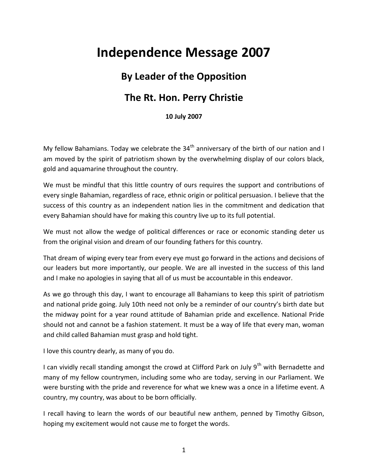## **Independence Message 2007**

## **By Leader of the Opposition**

## **The Rt. Hon. Perry Christie**

**10 July 2007**

My fellow Bahamians. Today we celebrate the  $34<sup>th</sup>$  anniversary of the birth of our nation and I am moved by the spirit of patriotism shown by the overwhelming display of our colors black, gold and aquamarine throughout the country.

We must be mindful that this little country of ours requires the support and contributions of every single Bahamian, regardless of race, ethnic origin or political persuasion. I believe that the success of this country as an independent nation lies in the commitment and dedication that every Bahamian should have for making this country live up to its full potential.

We must not allow the wedge of political differences or race or economic standing deter us from the original vision and dream of our founding fathers for this country.

That dream of wiping every tear from every eye must go forward in the actions and decisions of our leaders but more importantly, our people. We are all invested in the success of this land and I make no apologies in saying that all of us must be accountable in this endeavor.

As we go through this day, I want to encourage all Bahamians to keep this spirit of patriotism and national pride going. July 10th need not only be a reminder of our country's birth date but the midway point for a year round attitude of Bahamian pride and excellence. National Pride should not and cannot be a fashion statement. It must be a way of life that every man, woman and child called Bahamian must grasp and hold tight.

I love this country dearly, as many of you do.

I can vividly recall standing amongst the crowd at Clifford Park on July 9<sup>th</sup> with Bernadette and many of my fellow countrymen, including some who are today, serving in our Parliament. We were bursting with the pride and reverence for what we knew was a once in a lifetime event. A country, my country, was about to be born officially.

I recall having to learn the words of our beautiful new anthem, penned by Timothy Gibson, hoping my excitement would not cause me to forget the words.